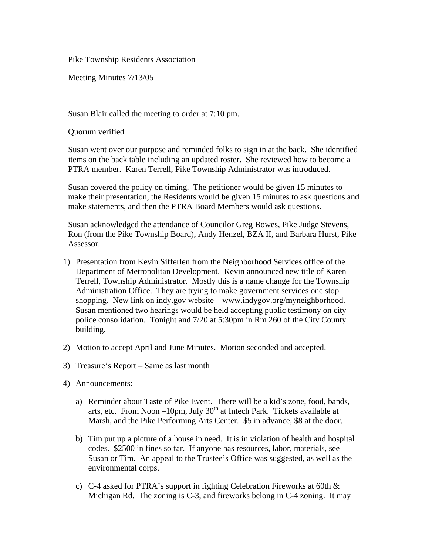Pike Township Residents Association

Meeting Minutes 7/13/05

Susan Blair called the meeting to order at 7:10 pm.

Quorum verified

Susan went over our purpose and reminded folks to sign in at the back. She identified items on the back table including an updated roster. She reviewed how to become a PTRA member. Karen Terrell, Pike Township Administrator was introduced.

Susan covered the policy on timing. The petitioner would be given 15 minutes to make their presentation, the Residents would be given 15 minutes to ask questions and make statements, and then the PTRA Board Members would ask questions.

Susan acknowledged the attendance of Councilor Greg Bowes, Pike Judge Stevens, Ron (from the Pike Township Board), Andy Henzel, BZA II, and Barbara Hurst, Pike Assessor.

- 1) Presentation from Kevin Sifferlen from the Neighborhood Services office of the Department of Metropolitan Development. Kevin announced new title of Karen Terrell, Township Administrator. Mostly this is a name change for the Township Administration Office. They are trying to make government services one stop shopping. New link on indy.gov website – www.indygov.org/myneighborhood. Susan mentioned two hearings would be held accepting public testimony on city police consolidation. Tonight and 7/20 at 5:30pm in Rm 260 of the City County building.
- 2) Motion to accept April and June Minutes. Motion seconded and accepted.
- 3) Treasure's Report Same as last month
- 4) Announcements:
	- a) Reminder about Taste of Pike Event. There will be a kid's zone, food, bands, arts, etc. From Noon  $-10$ pm, July  $30<sup>th</sup>$  at Intech Park. Tickets available at Marsh, and the Pike Performing Arts Center. \$5 in advance, \$8 at the door.
	- b) Tim put up a picture of a house in need. It is in violation of health and hospital codes. \$2500 in fines so far. If anyone has resources, labor, materials, see Susan or Tim. An appeal to the Trustee's Office was suggested, as well as the environmental corps.
	- c) C-4 asked for PTRA's support in fighting Celebration Fireworks at 60th & Michigan Rd. The zoning is C-3, and fireworks belong in C-4 zoning. It may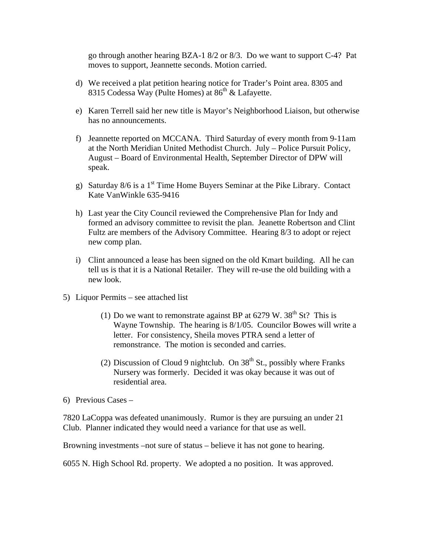go through another hearing BZA-1 8/2 or 8/3. Do we want to support C-4? Pat moves to support, Jeannette seconds. Motion carried.

- d) We received a plat petition hearing notice for Trader's Point area. 8305 and 8315 Codessa Way (Pulte Homes) at  $86<sup>th</sup>$  & Lafayette.
- e) Karen Terrell said her new title is Mayor's Neighborhood Liaison, but otherwise has no announcements.
- f) Jeannette reported on MCCANA. Third Saturday of every month from 9-11am at the North Meridian United Methodist Church. July – Police Pursuit Policy, August – Board of Environmental Health, September Director of DPW will speak.
- g) Saturday  $8/6$  is a 1<sup>st</sup> Time Home Buyers Seminar at the Pike Library. Contact Kate VanWinkle 635-9416
- h) Last year the City Council reviewed the Comprehensive Plan for Indy and formed an advisory committee to revisit the plan. Jeanette Robertson and Clint Fultz are members of the Advisory Committee. Hearing 8/3 to adopt or reject new comp plan.
- i) Clint announced a lease has been signed on the old Kmart building. All he can tell us is that it is a National Retailer. They will re-use the old building with a new look.
- 5) Liquor Permits see attached list
	- (1) Do we want to remonstrate against BP at  $6279$  W.  $38<sup>th</sup>$  St? This is Wayne Township. The hearing is 8/1/05. Councilor Bowes will write a letter. For consistency, Sheila moves PTRA send a letter of remonstrance. The motion is seconded and carries.
	- (2) Discussion of Cloud 9 nightclub. On  $38<sup>th</sup>$  St., possibly where Franks Nursery was formerly. Decided it was okay because it was out of residential area.

6) Previous Cases –

7820 LaCoppa was defeated unanimously. Rumor is they are pursuing an under 21 Club. Planner indicated they would need a variance for that use as well.

Browning investments –not sure of status – believe it has not gone to hearing.

6055 N. High School Rd. property. We adopted a no position. It was approved.